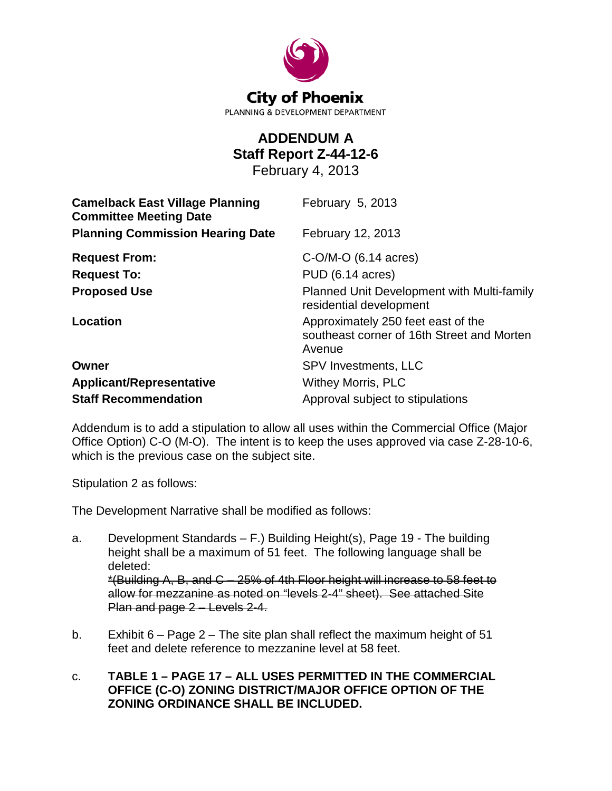

## **ADDENDUM A Staff Report Z-44-12-6**

February 4, 2013

| <b>Camelback East Village Planning</b><br><b>Committee Meeting Date</b> | February 5, 2013                                                                           |
|-------------------------------------------------------------------------|--------------------------------------------------------------------------------------------|
| <b>Planning Commission Hearing Date</b>                                 | February 12, 2013                                                                          |
| <b>Request From:</b>                                                    | $C-O/M-O$ (6.14 acres)                                                                     |
| <b>Request To:</b>                                                      | PUD (6.14 acres)                                                                           |
| <b>Proposed Use</b>                                                     | Planned Unit Development with Multi-family<br>residential development                      |
| <b>Location</b>                                                         | Approximately 250 feet east of the<br>southeast corner of 16th Street and Morten<br>Avenue |
| Owner                                                                   | <b>SPV Investments, LLC</b>                                                                |
| <b>Applicant/Representative</b>                                         | <b>Withey Morris, PLC</b>                                                                  |
| <b>Staff Recommendation</b>                                             | Approval subject to stipulations                                                           |

Addendum is to add a stipulation to allow all uses within the Commercial Office (Major Office Option) C-O (M-O). The intent is to keep the uses approved via case Z-28-10-6, which is the previous case on the subject site.

Stipulation 2 as follows:

The Development Narrative shall be modified as follows:

- a. Development Standards F.) Building Height(s), Page 19 The building height shall be a maximum of 51 feet. The following language shall be deleted: \*(Building A, B, and C – 25% of 4th Floor height will increase to 58 feet to allow for mezzanine as noted on "levels 2-4" sheet). See attached Site Plan and page 2 – Levels 2-4.
- b. Exhibit 6 Page 2 The site plan shall reflect the maximum height of 51 feet and delete reference to mezzanine level at 58 feet.
- c. **TABLE 1 – PAGE 17 – ALL USES PERMITTED IN THE COMMERCIAL OFFICE (C-O) ZONING DISTRICT/MAJOR OFFICE OPTION OF THE ZONING ORDINANCE SHALL BE INCLUDED.**